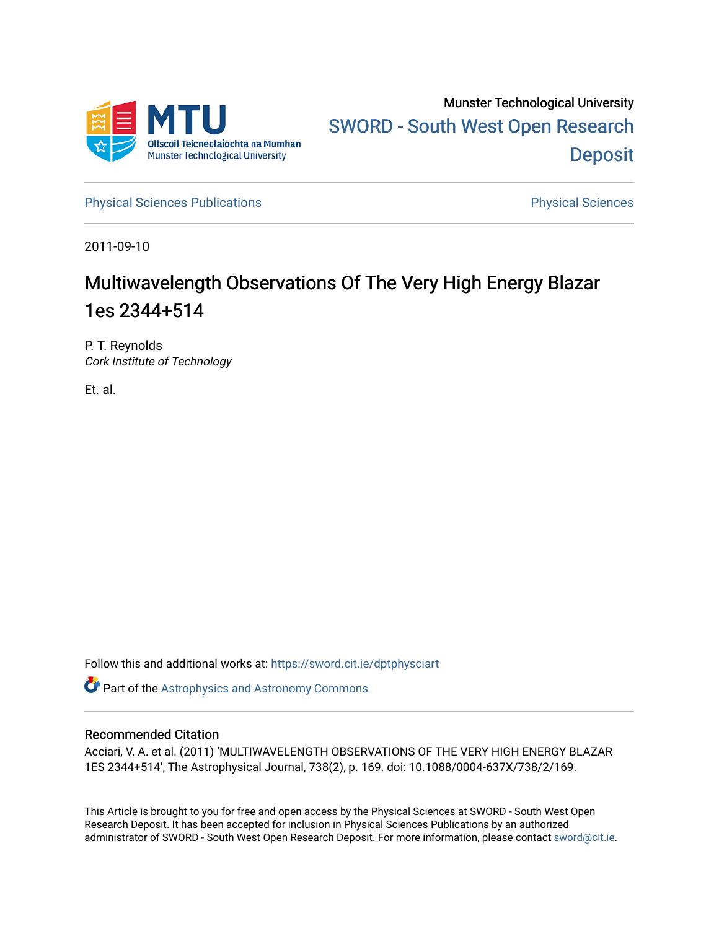

[Physical Sciences Publications](https://sword.cit.ie/dptphysciart) **Physical Sciences** Physical Sciences

2011-09-10

# Multiwavelength Observations Of The Very High Energy Blazar 1es 2344+514

P. T. Reynolds Cork Institute of Technology

Et. al.

Follow this and additional works at: [https://sword.cit.ie/dptphysciart](https://sword.cit.ie/dptphysciart?utm_source=sword.cit.ie%2Fdptphysciart%2F69&utm_medium=PDF&utm_campaign=PDFCoverPages)

Part of the [Astrophysics and Astronomy Commons](http://network.bepress.com/hgg/discipline/123?utm_source=sword.cit.ie%2Fdptphysciart%2F69&utm_medium=PDF&utm_campaign=PDFCoverPages) 

## Recommended Citation

Acciari, V. A. et al. (2011) 'MULTIWAVELENGTH OBSERVATIONS OF THE VERY HIGH ENERGY BLAZAR 1ES 2344+514', The Astrophysical Journal, 738(2), p. 169. doi: 10.1088/0004-637X/738/2/169.

This Article is brought to you for free and open access by the Physical Sciences at SWORD - South West Open Research Deposit. It has been accepted for inclusion in Physical Sciences Publications by an authorized administrator of SWORD - South West Open Research Deposit. For more information, please contact [sword@cit.ie.](mailto:sword@cit.ie)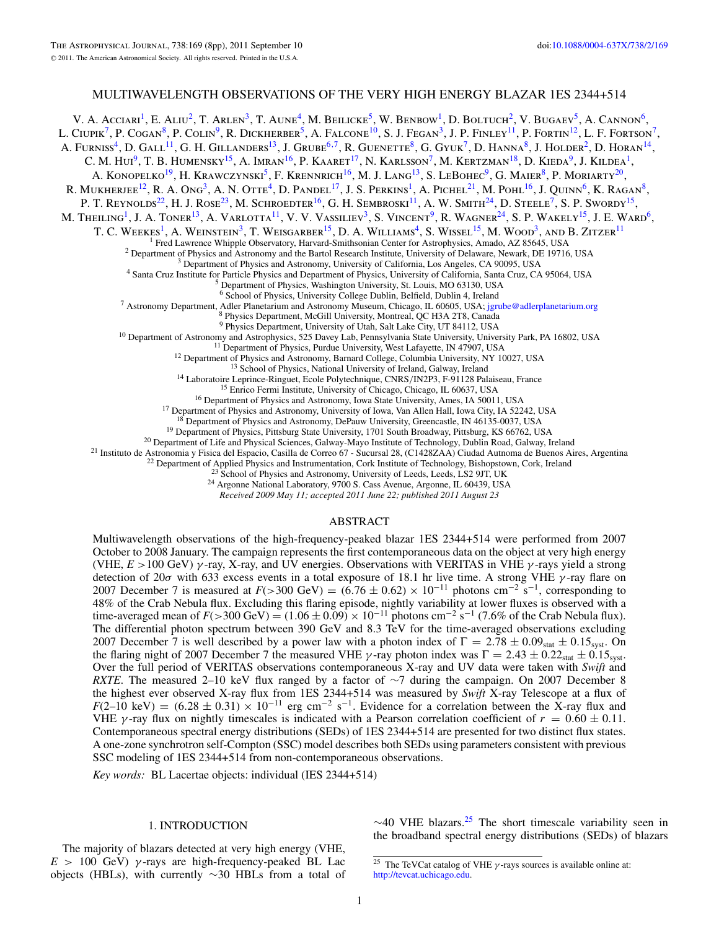### MULTIWAVELENGTH OBSERVATIONS OF THE VERY HIGH ENERGY BLAZAR 1ES 2344+514

V. A. Acciari<sup>1</sup>, E. Aliu<sup>2</sup>, T. Arlen<sup>3</sup>, T. Aune<sup>4</sup>, M. Beilicke<sup>5</sup>, W. Benbow<sup>1</sup>, D. Boltuch<sup>2</sup>, V. Bugaev<sup>5</sup>, A. Cannon<sup>6</sup>, L. CIUPIK<sup>7</sup>, P. COGAN<sup>8</sup>, P. COLIN<sup>9</sup>, R. DICKHERBER<sup>5</sup>, A. FALCONE<sup>10</sup>, S. J. FEGAN<sup>3</sup>, J. P. FINLEY<sup>11</sup>, P. FORTIN<sup>12</sup>, L. F. FORTSON<sup>7</sup>, A. Furniss<sup>4</sup>, D. Gall<sup>11</sup>, G. H. Gillanders<sup>13</sup>, J. Grube<sup>6,7</sup>, R. Guenette<sup>8</sup>, G. Gyuk<sup>7</sup>, D. Hanna<sup>8</sup>, J. Holder<sup>2</sup>, D. Horan<sup>14</sup>, C. M. Hui<sup>9</sup>, T. B. Humensky<sup>15</sup>, A. Imran<sup>16</sup>, P. Kaaret<sup>17</sup>, N. Karlsson<sup>7</sup>, M. Kertzman<sup>18</sup>, D. Kieda<sup>9</sup>, J. Kildea<sup>1</sup>, A. KONOPELKO<sup>19</sup>, H. KRAWCZYNSKI<sup>5</sup>, F. KRENNRICH<sup>16</sup>, M. J. LANG<sup>13</sup>, S. LEBOHEC<sup>9</sup>, G. MAIER<sup>8</sup>, P. MORIARTY<sup>20</sup>, R. MUKHERJEE<sup>12</sup>, R. A. Ong<sup>3</sup>, A. N. Otte<sup>4</sup>, D. Pandel<sup>17</sup>, J. S. Perkins<sup>1</sup>, A. Pichel<sup>21</sup>, M. Pohl<sup>16</sup>, J. Quinn<sup>6</sup>, K. Ragan<sup>8</sup>, P. T. REYNOLDS<sup>22</sup>, H. J. ROSE<sup>23</sup>, M. SCHROEDTER<sup>16</sup>, G. H. SEMBROSKI<sup>11</sup>, A. W. SMITH<sup>24</sup>, D. STEELE<sup>7</sup>, S. P. SWORDY<sup>15</sup>, M. THEILING<sup>1</sup>, J. A. TONER<sup>13</sup>, A. VARLOTTA<sup>11</sup>, V. V. VASSILIEV<sup>3</sup>, S. VINCENT<sup>9</sup>, R. WAGNER<sup>24</sup>, S. P. WAKELY<sup>15</sup>, J. E. WARD<sup>6</sup>, T. C. WEEKES<sup>1</sup>, A. WEINSTEIN<sup>3</sup>, T. WEISGARBER<sup>15</sup>, D. A. WILLIAMS<sup>4</sup>, S. WISSEL<sup>15</sup>, M. WOOD<sup>3</sup>, AND B. ZITZER<sup>11</sup> <sup>1</sup> Fred Lawrence Whipple Observatory, Harvard-Smithsonian Center for Astrophysics, Amado, AZ 85645, USA<br><sup>2</sup> Department of Physics and Astronomy and the Bartol Research Institute, University of Delaware, Newark, DE 19716, <sup>7</sup> Astronomy Department, Adler Planetarium and Astronomy Museum, Chicago, IL 60605, USA; [jgrube@adlerplanetarium.org](mailto:jgrube@adlerplanetarium.org)  $8$  Physics Department, McGill University, Montreal, QC H3A 2T8, Canada<br><sup>9</sup> Physics Department, Univers <sup>10</sup> Department of Astronomy and Astrophysics, 525 Davey Lab, Pennsylvania State University, University Park, PA 16802, USA<br><sup>11</sup> Department of Physics, Purdue University, West Lafayette, IN 47907, USA<br><sup>12</sup> Department of P <sup>19</sup> Department of Physics, Pittsburg State University, 1701 South Broadway, Pittsburg, KS 66762, USA<br><sup>20</sup> Department of Life and Physical Sciences, Galway-Mayo Institute of Technology, Dublin Road, Galway, Ireland<br><sup>21</sup> I

*Received 2009 May 11; accepted 2011 June 22; published 2011 August 23*

#### ABSTRACT

Multiwavelength observations of the high-frequency-peaked blazar 1ES 2344+514 were performed from 2007 October to 2008 January. The campaign represents the first contemporaneous data on the object at very high energy (VHE, *E >*100 GeV) *γ* -ray, X-ray, and UV energies. Observations with VERITAS in VHE *γ* -rays yield a strong detection of 20*σ* with 633 excess events in a total exposure of 18.1 hr live time. A strong VHE *γ* -ray flare on 2007 December 7 is measured at  $F(>300 \text{ GeV}) = (6.76 \pm 0.62) \times 10^{-11}$  photons cm<sup>-2</sup> s<sup>-1</sup>, corresponding to 48% of the Crab Nebula flux. Excluding this flaring episode, nightly variability at lower fluxes is observed with a time-averaged mean of  $F(>300 \text{ GeV}) = (1.06 \pm 0.09) \times 10^{-11}$  photons cm<sup>-2</sup> s<sup>-1</sup> (7.6% of the Crab Nebula flux). The differential photon spectrum between 390 GeV and 8.3 TeV for the time-averaged observations excluding 2007 December 7 is well described by a power law with a photon index of  $\Gamma = 2.78 \pm 0.09_{stat} \pm 0.15_{syst}$ . On the flaring night of 2007 December 7 the measured VHE *γ*-ray photon index was  $\Gamma = 2.43 \pm 0.22$ <sub>stat</sub>  $\pm 0.15$ <sub>syst</sub>. Over the full period of VERITAS observations contemporaneous X-ray and UV data were taken with *Swift* and *RXTE*. The measured 2–10 keV flux ranged by a factor of ∼7 during the campaign. On 2007 December 8 the highest ever observed X-ray flux from 1ES 2344+514 was measured by *Swift* X-ray Telescope at a flux of  $F(2-10 \text{ keV}) = (6.28 \pm 0.31) \times 10^{-11} \text{ erg cm}^{-2} \text{ s}^{-1}$ . Evidence for a correlation between the X-ray flux and VHE  $\gamma$ -ray flux on nightly timescales is indicated with a Pearson correlation coefficient of  $r = 0.60 \pm 0.11$ . Contemporaneous spectral energy distributions (SEDs) of 1ES 2344+514 are presented for two distinct flux states. A one-zone synchrotron self-Compton (SSC) model describes both SEDs using parameters consistent with previous SSC modeling of 1ES 2344+514 from non-contemporaneous observations.

*Key words:* BL Lacertae objects: individual (IES 2344+514)

#### 1. INTRODUCTION

The majority of blazars detected at very high energy (VHE,  $E > 100$  GeV)  $\gamma$ -rays are high-frequency-peaked BL Lac objects (HBLs), with currently ∼30 HBLs from a total of  $\sim$ 40 VHE blazars.<sup>25</sup> The short timescale variability seen in the broadband spectral energy distributions (SEDs) of blazars

<sup>&</sup>lt;sup>25</sup> The TeVCat catalog of VHE  $\gamma$ -rays sources is available online at: [http://tevcat.uchicago.edu.](http://tevcat.uchicago.edu)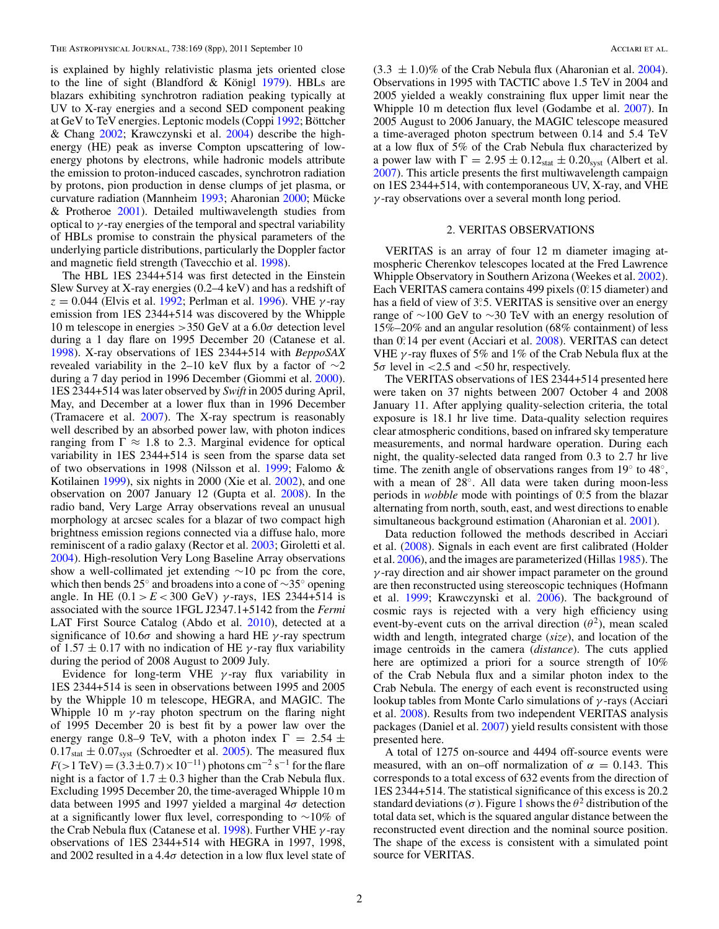is explained by highly relativistic plasma jets oriented close to the line of sight (Blandford & Königl  $1979$ ). HBLs are blazars exhibiting synchrotron radiation peaking typically at UV to X-ray energies and a second SED component peaking at GeV to TeV energies. Leptonic models (Coppi [1992;](#page-8-0) Böttcher & Chang [2002;](#page-8-0) Krawczynski et al. [2004\)](#page-8-0) describe the highenergy (HE) peak as inverse Compton upscattering of lowenergy photons by electrons, while hadronic models attribute the emission to proton-induced cascades, synchrotron radiation by protons, pion production in dense clumps of jet plasma, or curvature radiation (Mannheim [1993;](#page-8-0) Aharonian [2000;](#page-8-0) Mücke & Protheroe  $2001$ ). Detailed multiwavelength studies from optical to *γ* -ray energies of the temporal and spectral variability of HBLs promise to constrain the physical parameters of the underlying particle distributions, particularly the Doppler factor and magnetic field strength (Tavecchio et al. [1998\)](#page-8-0).

The HBL 1ES 2344+514 was first detected in the Einstein Slew Survey at X-ray energies (0.2–4 keV) and has a redshift of *z* = 0.044 (Elvis et al. [1992;](#page-8-0) Perlman et al. [1996\)](#page-8-0). VHE *γ* -ray emission from 1ES 2344+514 was discovered by the Whipple 10 m telescope in energies *>*350 GeV at a 6.0*σ* detection level during a 1 day flare on 1995 December 20 (Catanese et al. [1998\)](#page-8-0). X-ray observations of 1ES 2344+514 with *BeppoSAX* revealed variability in the 2–10 keV flux by a factor of  $\sim$ 2 during a 7 day period in 1996 December (Giommi et al. [2000\)](#page-8-0). 1ES 2344+514 was later observed by *Swift* in 2005 during April, May, and December at a lower flux than in 1996 December (Tramacere et al. [2007\)](#page-8-0). The X-ray spectrum is reasonably well described by an absorbed power law, with photon indices ranging from  $\Gamma \approx 1.8$  to 2.3. Marginal evidence for optical variability in 1ES 2344+514 is seen from the sparse data set of two observations in 1998 (Nilsson et al. [1999;](#page-8-0) Falomo & Kotilainen [1999\)](#page-8-0), six nights in 2000 (Xie et al. [2002\)](#page-8-0), and one observation on 2007 January 12 (Gupta et al. [2008\)](#page-8-0). In the radio band, Very Large Array observations reveal an unusual morphology at arcsec scales for a blazar of two compact high brightness emission regions connected via a diffuse halo, more reminiscent of a radio galaxy (Rector et al. [2003;](#page-8-0) Giroletti et al. [2004\)](#page-8-0). High-resolution Very Long Baseline Array observations show a well-collimated jet extending  $\sim$ 10 pc from the core, which then bends 25◦ and broadens into a cone of ∼35◦ opening angle. In HE  $(0.1 > E < 300 \text{ GeV})$  *γ*-rays, 1ES 2344+514 is associated with the source 1FGL J2347.1+5142 from the *Fermi* LAT First Source Catalog (Abdo et al. [2010\)](#page-8-0), detected at a significance of 10.6*σ* and showing a hard HE *γ* -ray spectrum of  $1.57 \pm 0.17$  with no indication of HE  $\gamma$ -ray flux variability during the period of 2008 August to 2009 July.

Evidence for long-term VHE *γ* -ray flux variability in 1ES 2344+514 is seen in observations between 1995 and 2005 by the Whipple 10 m telescope, HEGRA, and MAGIC. The Whipple 10 m *γ* -ray photon spectrum on the flaring night of 1995 December 20 is best fit by a power law over the energy range 0.8–9 TeV, with a photon index  $\Gamma = 2.54 \pm 1.5$  $0.17<sub>stat</sub> \pm 0.07<sub>syst</sub>$  (Schroedter et al. [2005\)](#page-8-0). The measured flux  $F(>1 \text{ TeV}) = (3.3 \pm 0.7) \times 10^{-11}$ ) photons cm<sup>-2</sup> s<sup>-1</sup> for the flare night is a factor of  $1.7 \pm 0.3$  higher than the Crab Nebula flux. Excluding 1995 December 20, the time-averaged Whipple 10 m data between 1995 and 1997 yielded a marginal 4*σ* detection at a significantly lower flux level, corresponding to ∼10% of the Crab Nebula flux (Catanese et al. [1998\)](#page-8-0). Further VHE *γ* -ray observations of 1ES 2344+514 with HEGRA in 1997, 1998, and 2002 resulted in a 4.4 $\sigma$  detection in a low flux level state of

 $(3.3 \pm 1.0)\%$  of the Crab Nebula flux (Aharonian et al. [2004\)](#page-8-0). Observations in 1995 with TACTIC above 1.5 TeV in 2004 and 2005 yielded a weakly constraining flux upper limit near the Whipple 10 m detection flux level (Godambe et al. [2007\)](#page-8-0). In 2005 August to 2006 January, the MAGIC telescope measured a time-averaged photon spectrum between 0.14 and 5.4 TeV at a low flux of 5% of the Crab Nebula flux characterized by a power law with  $\Gamma = 2.95 \pm 0.12_{stat} \pm 0.20_{syst}$  (Albert et al. [2007\)](#page-8-0). This article presents the first multiwavelength campaign on 1ES 2344+514, with contemporaneous UV, X-ray, and VHE *γ* -ray observations over a several month long period.

#### 2. VERITAS OBSERVATIONS

VERITAS is an array of four 12 m diameter imaging atmospheric Cherenkov telescopes located at the Fred Lawrence Whipple Observatory in Southern Arizona (Weekes et al. [2002\)](#page-8-0). Each VERITAS camera contains 499 pixels (0*.* ◦15 diameter) and has a field of view of 3°.5. VERITAS is sensitive over an energy range of ∼100 GeV to ∼30 TeV with an energy resolution of 15%–20% and an angular resolution (68% containment) of less than 0*.* ◦14 per event (Acciari et al. [2008\)](#page-8-0). VERITAS can detect VHE *γ* -ray fluxes of 5% and 1% of the Crab Nebula flux at the 5*σ* level in *<*2.5 and *<*50 hr, respectively.

The VERITAS observations of 1ES 2344+514 presented here were taken on 37 nights between 2007 October 4 and 2008 January 11. After applying quality-selection criteria, the total exposure is 18.1 hr live time. Data-quality selection requires clear atmospheric conditions, based on infrared sky temperature measurements, and normal hardware operation. During each night, the quality-selected data ranged from 0.3 to 2.7 hr live time. The zenith angle of observations ranges from 19◦ to 48◦, with a mean of 28◦. All data were taken during moon-less periods in *wobble* mode with pointings of 0*.* ◦5 from the blazar alternating from north, south, east, and west directions to enable simultaneous background estimation (Aharonian et al. [2001\)](#page-8-0).

Data reduction followed the methods described in Acciari et al. [\(2008\)](#page-8-0). Signals in each event are first calibrated (Holder et al. [2006\)](#page-8-0), and the images are parameterized (Hillas [1985\)](#page-8-0). The *γ* -ray direction and air shower impact parameter on the ground are then reconstructed using stereoscopic techniques (Hofmann et al. [1999;](#page-8-0) Krawczynski et al. [2006\)](#page-8-0). The background of cosmic rays is rejected with a very high efficiency using event-by-event cuts on the arrival direction  $(\theta^2)$ , mean scaled width and length, integrated charge (*size*), and location of the image centroids in the camera (*distance*). The cuts applied here are optimized a priori for a source strength of 10% of the Crab Nebula flux and a similar photon index to the Crab Nebula. The energy of each event is reconstructed using lookup tables from Monte Carlo simulations of *γ* -rays (Acciari et al. [2008\)](#page-8-0). Results from two independent VERITAS analysis packages (Daniel et al. [2007\)](#page-8-0) yield results consistent with those presented here.

A total of 1275 on-source and 4494 off-source events were measured, with an on–off normalization of  $\alpha = 0.143$ . This corresponds to a total excess of 632 events from the direction of 1ES 2344+514. The statistical significance of this excess is 20.2 standard deviations ( $\sigma$ ). Figure [1](#page-3-0) shows the  $\theta^2$  distribution of the total data set, which is the squared angular distance between the reconstructed event direction and the nominal source position. The shape of the excess is consistent with a simulated point source for VERITAS.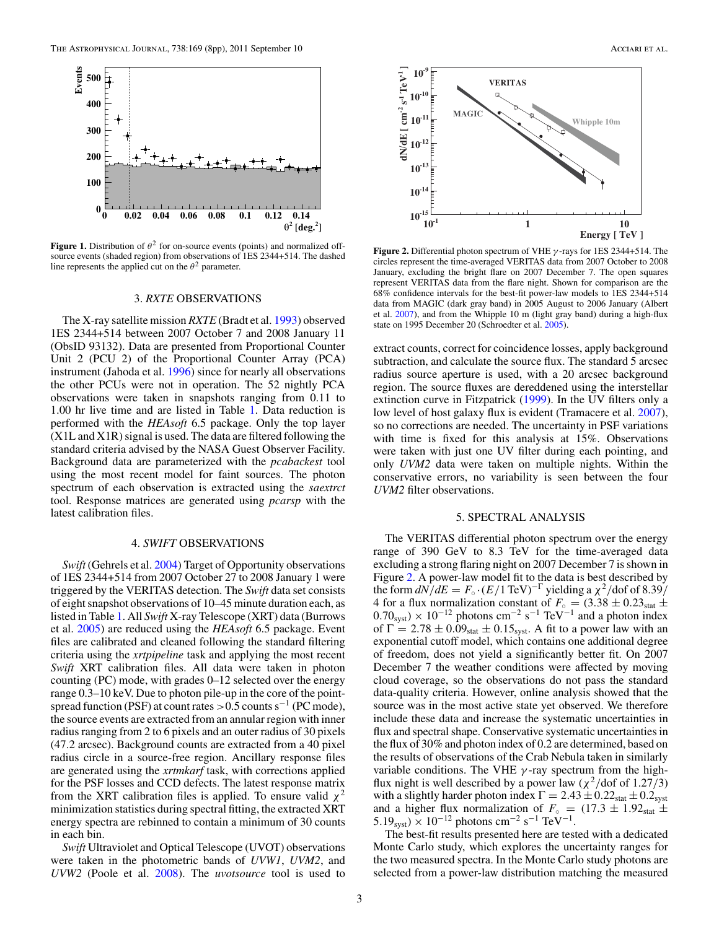<span id="page-3-0"></span>

**Figure 1.** Distribution of  $\theta^2$  for on-source events (points) and normalized offsource events (shaded region) from observations of 1ES 2344+514. The dashed line represents the applied cut on the  $\theta^2$  parameter.

#### 3. *RXTE* OBSERVATIONS

The X-ray satellite mission *RXTE* (Bradt et al. [1993\)](#page-8-0) observed 1ES 2344+514 between 2007 October 7 and 2008 January 11 (ObsID 93132). Data are presented from Proportional Counter Unit 2 (PCU 2) of the Proportional Counter Array (PCA) instrument (Jahoda et al. [1996\)](#page-8-0) since for nearly all observations the other PCUs were not in operation. The 52 nightly PCA observations were taken in snapshots ranging from 0.11 to 1.00 hr live time and are listed in Table [1.](#page-4-0) Data reduction is performed with the *HEAsoft* 6.5 package. Only the top layer (X1L and X1R) signal is used. The data are filtered following the standard criteria advised by the NASA Guest Observer Facility. Background data are parameterized with the *pcabackest* tool using the most recent model for faint sources. The photon spectrum of each observation is extracted using the *saextrct* tool. Response matrices are generated using *pcarsp* with the latest calibration files.

#### 4. *SWIFT* OBSERVATIONS

*Swift* (Gehrels et al. [2004\)](#page-8-0) Target of Opportunity observations of 1ES 2344+514 from 2007 October 27 to 2008 January 1 were triggered by the VERITAS detection. The *Swift* data set consists of eight snapshot observations of 10–45 minute duration each, as listed in Table [1.](#page-4-0) All *Swift* X-ray Telescope (XRT) data (Burrows et al. [2005\)](#page-8-0) are reduced using the *HEAsoft* 6.5 package. Event files are calibrated and cleaned following the standard filtering criteria using the *xrtpipeline* task and applying the most recent *Swift* XRT calibration files. All data were taken in photon counting (PC) mode, with grades 0–12 selected over the energy range 0.3–10 keV. Due to photon pile-up in the core of the pointspread function (PSF) at count rates > 0.5 counts s<sup>-1</sup> (PC mode), the source events are extracted from an annular region with inner radius ranging from 2 to 6 pixels and an outer radius of 30 pixels (47.2 arcsec). Background counts are extracted from a 40 pixel radius circle in a source-free region. Ancillary response files are generated using the *xrtmkarf* task, with corrections applied for the PSF losses and CCD defects. The latest response matrix from the XRT calibration files is applied. To ensure valid  $\chi^2$ minimization statistics during spectral fitting, the extracted XRT energy spectra are rebinned to contain a minimum of 30 counts in each bin.

*Swift* Ultraviolet and Optical Telescope (UVOT) observations were taken in the photometric bands of *UVW1*, *UVM2*, and *UVW2* (Poole et al. [2008\)](#page-8-0). The *uvotsource* tool is used to



**Figure 2.** Differential photon spectrum of VHE *γ* -rays for 1ES 2344+514. The circles represent the time-averaged VERITAS data from 2007 October to 2008 January, excluding the bright flare on 2007 December 7. The open squares represent VERITAS data from the flare night. Shown for comparison are the 68% confidence intervals for the best-fit power-law models to 1ES 2344+514 data from MAGIC (dark gray band) in 2005 August to 2006 January (Albert et al. [2007\)](#page-8-0), and from the Whipple 10 m (light gray band) during a high-flux state on 1995 December 20 (Schroedter et al. [2005\)](#page-8-0).

extract counts, correct for coincidence losses, apply background subtraction, and calculate the source flux. The standard 5 arcsec radius source aperture is used, with a 20 arcsec background region. The source fluxes are dereddened using the interstellar extinction curve in Fitzpatrick [\(1999\)](#page-8-0). In the UV filters only a low level of host galaxy flux is evident (Tramacere et al. [2007\)](#page-8-0), so no corrections are needed. The uncertainty in PSF variations with time is fixed for this analysis at 15%. Observations were taken with just one UV filter during each pointing, and only *UVM2* data were taken on multiple nights. Within the conservative errors, no variability is seen between the four *UVM2* filter observations.

#### 5. SPECTRAL ANALYSIS

The VERITAS differential photon spectrum over the energy range of 390 GeV to 8.3 TeV for the time-averaged data excluding a strong flaring night on 2007 December 7 is shown in Figure 2. A power-law model fit to the data is best described by the form  $dN/dE = F_\circ \cdot (E/1 \text{ TeV})^{-\Gamma}$  yielding a  $\chi^2/\text{dof of } 8.39$ / 4 for a flux normalization constant of  $F_{\circ} = (3.38 \pm 0.23_{stat} \pm 0.75)$  $(0.70<sub>svst</sub>) \times 10<sup>-12</sup>$  photons cm<sup>-2</sup> s<sup>-1</sup> TeV<sup>-1</sup> and a photon index of  $\Gamma = 2.78 \pm 0.09_{stat} \pm 0.15_{syst}$ . A fit to a power law with an exponential cutoff model, which contains one additional degree of freedom, does not yield a significantly better fit. On 2007 December 7 the weather conditions were affected by moving cloud coverage, so the observations do not pass the standard data-quality criteria. However, online analysis showed that the source was in the most active state yet observed. We therefore include these data and increase the systematic uncertainties in flux and spectral shape. Conservative systematic uncertainties in the flux of 30% and photon index of 0.2 are determined, based on the results of observations of the Crab Nebula taken in similarly variable conditions. The VHE *γ* -ray spectrum from the highflux night is well described by a power law  $(\chi^2/\text{dof of } 1.27/3)$ with a slightly harder photon index  $\Gamma = 2.43 \pm 0.22_{stat} \pm 0.2_{syst}$ and a higher flux normalization of  $F_{\circ} = (17.3 \pm 1.92)$ stat  $\pm$  $5.19_{\text{syst}} \times 10^{-12}$  photons cm<sup>-2</sup> s<sup>-1</sup> TeV<sup>-1</sup>.

The best-fit results presented here are tested with a dedicated Monte Carlo study, which explores the uncertainty ranges for the two measured spectra. In the Monte Carlo study photons are selected from a power-law distribution matching the measured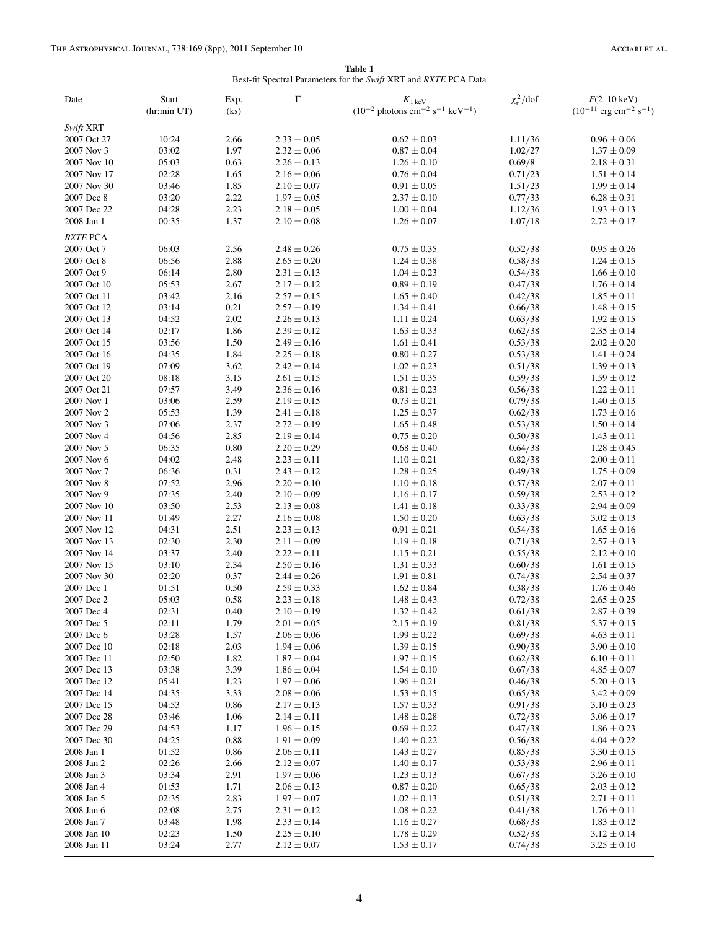**Table 1** Best-fit Spectral Parameters for the *Swift* XRT and *RXTE* PCA Data

<span id="page-4-0"></span>

| Date                      | Start<br>(hr:min UT) | Exp.<br>(ks) | $\Gamma$                           | $K_{1\,\text{keV}}$<br>$(10^{-2}$ photons cm <sup>-2</sup> s <sup>-1</sup> keV <sup>-1</sup> ) | $\chi^2_{\rm r}/\rm dof$ | $F(2-10 \text{ keV})$<br>$(10^{-11} \text{ erg cm}^{-2} \text{ s}^{-1})$ |
|---------------------------|----------------------|--------------|------------------------------------|------------------------------------------------------------------------------------------------|--------------------------|--------------------------------------------------------------------------|
| Swift XRT                 |                      |              |                                    |                                                                                                |                          |                                                                          |
| 2007 Oct 27               | 10:24                | 2.66         | $2.33\pm0.05$                      | $0.62 \pm 0.03$                                                                                | 1.11/36                  | $0.96 \pm 0.06$                                                          |
| 2007 Nov 3                | 03:02                | 1.97         | $2.32 \pm 0.06$                    | $0.87 \pm 0.04$                                                                                | 1.02/27                  | $1.37 \pm 0.09$                                                          |
| 2007 Nov 10               | 05:03                | 0.63         | $2.26 \pm 0.13$                    | $1.26 \pm 0.10$                                                                                | 0.69/8                   | $2.18 \pm 0.31$                                                          |
| 2007 Nov 17               | 02:28                | 1.65         | $2.16 \pm 0.06$                    | $0.76 \pm 0.04$                                                                                | 0.71/23                  | $1.51 \pm 0.14$                                                          |
| 2007 Nov 30               | 03:46                | 1.85         | $2.10 \pm 0.07$                    | $0.91 \pm 0.05$                                                                                | 1.51/23                  | $1.99 \pm 0.14$                                                          |
| 2007 Dec 8                | 03:20                | 2.22         | $1.97 \pm 0.05$                    | $2.37 \pm 0.10$                                                                                | 0.77/33                  | $6.28 \pm 0.31$                                                          |
| 2007 Dec 22               | 04:28                | 2.23         | $2.18 \pm 0.05$                    | $1.00 \pm 0.04$                                                                                | 1.12/36                  | $1.93 \pm 0.13$                                                          |
| 2008 Jan 1                | 00:35                | 1.37         | $2.10 \pm 0.08$                    | $1.26 \pm 0.07$                                                                                | 1.07/18                  | $2.72 \pm 0.17$                                                          |
| <b>RXTE PCA</b>           |                      |              |                                    |                                                                                                |                          |                                                                          |
| 2007 Oct 7                | 06:03                | 2.56         | $2.48 \pm 0.26$                    | $0.75 \pm 0.35$                                                                                | 0.52/38                  | $0.95 \pm 0.26$                                                          |
| 2007 Oct 8                | 06:56                | 2.88         | $2.65 \pm 0.20$                    | $1.24 \pm 0.38$                                                                                | 0.58/38                  | $1.24 \pm 0.15$                                                          |
| 2007 Oct 9                | 06:14                | 2.80         | $2.31 \pm 0.13$                    | $1.04 \pm 0.23$                                                                                | 0.54/38                  | $1.66 \pm 0.10$                                                          |
| 2007 Oct 10               | 05:53                | 2.67         | $2.17 \pm 0.12$                    | $0.89 \pm 0.19$                                                                                | 0.47/38                  | $1.76 \pm 0.14$                                                          |
| 2007 Oct 11               | 03:42                | 2.16         | $2.57 \pm 0.15$                    | $1.65 \pm 0.40$                                                                                | 0.42/38                  | $1.85 \pm 0.11$                                                          |
| 2007 Oct 12               | 03:14                | 0.21         | $2.57 \pm 0.19$                    | $1.34 \pm 0.41$                                                                                | 0.66/38                  | $1.48 \pm 0.15$                                                          |
| 2007 Oct 13               | 04:52                | 2.02         | $2.26 \pm 0.13$                    | $1.11 \pm 0.24$                                                                                | 0.63/38                  | $1.92 \pm 0.15$                                                          |
| 2007 Oct 14               | 02:17                | 1.86         | $2.39 \pm 0.12$                    | $1.63 \pm 0.33$                                                                                | 0.62/38                  | $2.35 \pm 0.14$                                                          |
| 2007 Oct 15               | 03:56                | 1.50         | $2.49 \pm 0.16$                    | $1.61 \pm 0.41$                                                                                | 0.53/38                  | $2.02 \pm 0.20$                                                          |
| 2007 Oct 16               | 04:35                | 1.84         | $2.25\pm0.18$                      | $0.80 \pm 0.27$                                                                                | 0.53/38                  | $1.41 \pm 0.24$                                                          |
| 2007 Oct 19               | 07:09                | 3.62         | $2.42 \pm 0.14$                    | $1.02 \pm 0.23$                                                                                | 0.51/38                  | $1.39\pm0.13$                                                            |
| 2007 Oct 20               | 08:18                | 3.15         | $2.61 \pm 0.15$                    | $1.51 \pm 0.35$                                                                                | 0.59/38                  | $1.59 \pm 0.12$                                                          |
| 2007 Oct 21               | 07:57                | 3.49         | $2.36 \pm 0.16$                    | $0.81 \pm 0.23$                                                                                | 0.56/38                  | $1.22 \pm 0.11$                                                          |
| 2007 Nov 1                | 03:06                | 2.59         | $2.19 \pm 0.15$                    | $0.73 \pm 0.21$                                                                                | 0.79/38                  | $1.40 \pm 0.13$                                                          |
| 2007 Nov 2                | 05:53                | 1.39         | $2.41 \pm 0.18$                    | $1.25 \pm 0.37$                                                                                | 0.62/38                  | $1.73 \pm 0.16$                                                          |
| 2007 Nov 3                | 07:06                | 2.37         | $2.72 \pm 0.19$                    | $1.65 \pm 0.48$                                                                                | 0.53/38                  | $1.50 \pm 0.14$                                                          |
| 2007 Nov 4                | 04:56                | 2.85         | $2.19 \pm 0.14$                    | $0.75 \pm 0.20$                                                                                | 0.50/38                  | $1.43 \pm 0.11$                                                          |
| 2007 Nov 5                | 06:35                | 0.80         | $2.20 \pm 0.29$                    | $0.68 \pm 0.40$                                                                                | 0.64/38                  | $1.28 \pm 0.45$                                                          |
| 2007 Nov 6                | 04:02                | 2.48         | $2.23 \pm 0.11$                    | $1.10 \pm 0.21$                                                                                | 0.82/38                  | $2.00 \pm 0.11$                                                          |
| 2007 Nov 7                | 06:36                | 0.31         | $2.43 \pm 0.12$                    | $1.28 \pm 0.25$                                                                                | 0.49/38                  | $1.75 \pm 0.09$                                                          |
| 2007 Nov 8                | 07:52                | 2.96         | $2.20 \pm 0.10$                    | $1.10 \pm 0.18$                                                                                | 0.57/38                  | $2.07 \pm 0.11$                                                          |
| 2007 Nov 9<br>2007 Nov 10 | 07:35<br>03:50       | 2.40<br>2.53 | $2.10 \pm 0.09$<br>$2.13 \pm 0.08$ | $1.16 \pm 0.17$<br>$1.41 \pm 0.18$                                                             | 0.59/38                  | $2.53 \pm 0.12$<br>$2.94 \pm 0.09$                                       |
| 2007 Nov 11               | 01:49                | 2.27         | $2.16 \pm 0.08$                    | $1.50 \pm 0.20$                                                                                | 0.33/38<br>0.63/38       | $3.02 \pm 0.13$                                                          |
| 2007 Nov 12               | 04:31                | 2.51         | $2.23 \pm 0.13$                    | $0.91 \pm 0.21$                                                                                | 0.54/38                  | $1.65 \pm 0.16$                                                          |
| 2007 Nov 13               | 02:30                | 2.30         | $2.11 \pm 0.09$                    | $1.19 \pm 0.18$                                                                                | 0.71/38                  | $2.57 \pm 0.13$                                                          |
| 2007 Nov 14               | 03:37                | 2.40         | $2.22 \pm 0.11$                    | $1.15 \pm 0.21$                                                                                | 0.55/38                  | $2.12 \pm 0.10$                                                          |
| 2007 Nov 15               | 03:10                | 2.34         | $2.50 \pm 0.16$                    | $1.31 \pm 0.33$                                                                                | 0.60/38                  | $1.61 \pm 0.15$                                                          |
| 2007 Nov 30               | 02:20                | 0.37         | $2.44 \pm 0.26$                    | $1.91 \pm 0.81$                                                                                | 0.74/38                  | $2.54 \pm 0.37$                                                          |
| 2007 Dec 1                | 01:51                | 0.50         | $2.59\pm0.33$                      | $1.62 \pm 0.84$                                                                                | 0.38/38                  | $1.76 \pm 0.46$                                                          |
| 2007 Dec 2                | 05:03                | 0.58         | $2.23 \pm 0.18$                    | $1.48 \pm 0.43$                                                                                | 0.72/38                  | $2.65 \pm 0.25$                                                          |
| 2007 Dec 4                | 02:31                | 0.40         | $2.10 \pm 0.19$                    | $1.32 \pm 0.42$                                                                                | 0.61/38                  | $2.87 \pm 0.39$                                                          |
| 2007 Dec 5                | 02:11                | 1.79         | $2.01 \pm 0.05$                    | $2.15 \pm 0.19$                                                                                | 0.81/38                  | $5.37 \pm 0.15$                                                          |
| 2007 Dec 6                | 03:28                | 1.57         | $2.06 \pm 0.06$                    | $1.99 \pm 0.22$                                                                                | 0.69/38                  | $4.63 \pm 0.11$                                                          |
| 2007 Dec 10               | 02:18                | 2.03         | $1.94 \pm 0.06$                    | $1.39 \pm 0.15$                                                                                | 0.90/38                  | $3.90 \pm 0.10$                                                          |
| 2007 Dec 11               | 02:50                | 1.82         | $1.87 \pm 0.04$                    | $1.97 \pm 0.15$                                                                                | 0.62/38                  | $6.10 \pm 0.11$                                                          |
| 2007 Dec 13               | 03:38                | 3.39         | $1.86 \pm 0.04$                    | $1.54 \pm 0.10$                                                                                | 0.67/38                  | $4.85 \pm 0.07$                                                          |
| 2007 Dec 12               | 05:41                | 1.23         | $1.97 \pm 0.06$                    | $1.96 \pm 0.21$                                                                                | 0.46/38                  | $5.20 \pm 0.13$                                                          |
| 2007 Dec 14               | 04:35                | 3.33         | $2.08\pm0.06$                      | $1.53 \pm 0.15$                                                                                | 0.65/38                  | $3.42 \pm 0.09$                                                          |
| 2007 Dec 15               | 04:53                | 0.86         | $2.17 \pm 0.13$                    | $1.57 \pm 0.33$                                                                                | 0.91/38                  | $3.10 \pm 0.23$                                                          |
| 2007 Dec 28               | 03:46                | 1.06         | $2.14 \pm 0.11$                    | $1.48 \pm 0.28$                                                                                | 0.72/38                  | $3.06 \pm 0.17$                                                          |
| 2007 Dec 29               | 04:53                | 1.17         | $1.96 \pm 0.15$                    | $0.69 \pm 0.22$                                                                                | 0.47/38                  | $1.86 \pm 0.23$                                                          |
| 2007 Dec 30               | 04:25                | 0.88         | $1.91 \pm 0.09$                    | $1.40 \pm 0.22$                                                                                | 0.56/38                  | $4.04 \pm 0.22$                                                          |
| 2008 Jan 1                | 01:52                | 0.86         | $2.06 \pm 0.11$                    | $1.43 \pm 0.27$                                                                                | 0.85/38                  | $3.30 \pm 0.15$                                                          |
| 2008 Jan 2                | 02:26                | 2.66         | $2.12 \pm 0.07$                    | $1.40 \pm 0.17$                                                                                | 0.53/38                  | $2.96 \pm 0.11$                                                          |
| 2008 Jan 3                | 03:34                | 2.91         | $1.97 \pm 0.06$                    | $1.23 \pm 0.13$                                                                                | 0.67/38                  | $3.26 \pm 0.10$                                                          |
| 2008 Jan 4                | 01:53                | 1.71         | $2.06 \pm 0.13$                    | $0.87 \pm 0.20$                                                                                | 0.65/38                  | $2.03 \pm 0.12$                                                          |
| 2008 Jan 5                | 02:35                | 2.83         | $1.97 \pm 0.07$                    | $1.02 \pm 0.13$                                                                                | 0.51/38                  | $2.71 \pm 0.11$                                                          |
| 2008 Jan 6                | 02:08                | 2.75         | $2.31 \pm 0.12$                    | $1.08 \pm 0.22$                                                                                | 0.41/38                  | $1.76 \pm 0.11$                                                          |
| 2008 Jan 7                | 03:48                | 1.98         | $2.33 \pm 0.14$                    | $1.16 \pm 0.27$                                                                                | 0.68/38                  | $1.83 \pm 0.12$                                                          |
| 2008 Jan 10               | 02:23                | 1.50         | $2.25 \pm 0.10$                    | $1.78 \pm 0.29$                                                                                | 0.52/38                  | $3.12 \pm 0.14$                                                          |
| 2008 Jan 11               | 03:24                | 2.77         | $2.12 \pm 0.07$                    | $1.53 \pm 0.17$                                                                                | 0.74/38                  | $3.25 \pm 0.10$                                                          |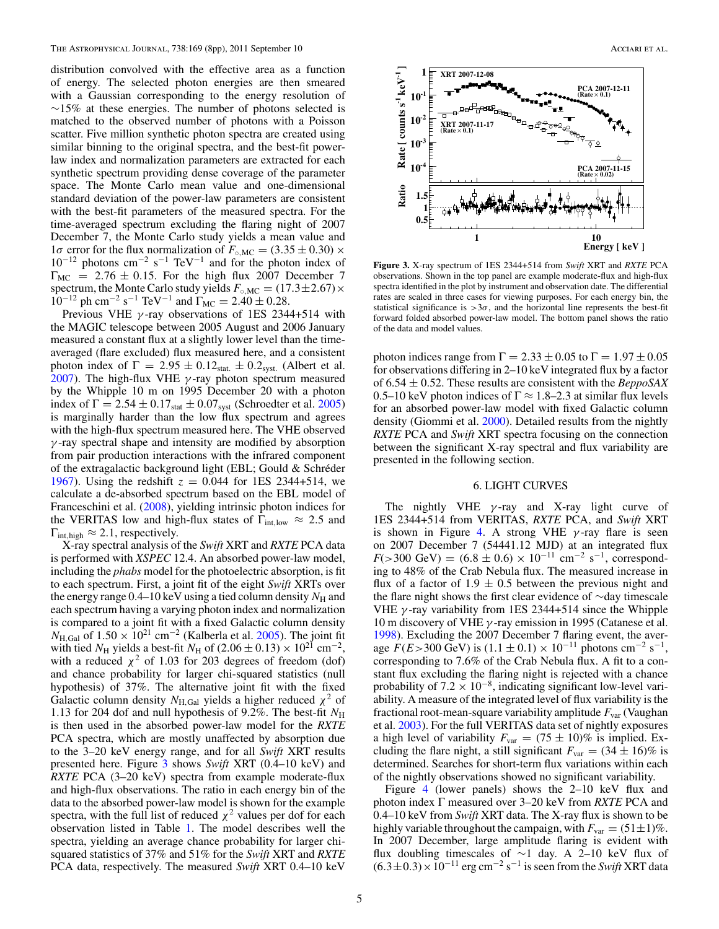distribution convolved with the effective area as a function of energy. The selected photon energies are then smeared with a Gaussian corresponding to the energy resolution of  $∼15\%$  at these energies. The number of photons selected is matched to the observed number of photons with a Poisson scatter. Five million synthetic photon spectra are created using similar binning to the original spectra, and the best-fit powerlaw index and normalization parameters are extracted for each synthetic spectrum providing dense coverage of the parameter space. The Monte Carlo mean value and one-dimensional standard deviation of the power-law parameters are consistent with the best-fit parameters of the measured spectra. For the time-averaged spectrum excluding the flaring night of 2007 December 7, the Monte Carlo study yields a mean value and 1*σ* error for the flux normalization of  $F_{\text{o,MC}} = (3.35 \pm 0.30) \times$  $10^{-12}$  photons cm<sup>-2</sup> s<sup>-1</sup> TeV<sup>-1</sup> and for the photon index of  $\Gamma_{MC}$  = 2.76  $\pm$  0.15. For the high flux 2007 December 7 spectrum, the Monte Carlo study yields  $F_{\circ,MC} = (17.3 \pm 2.67) \times$  $10^{-12}$  ph cm<sup>-2</sup> s<sup>-1</sup> TeV<sup>-1</sup> and  $\Gamma_{MC} = 2.40 \pm 0.28$ .

Previous VHE *γ* -ray observations of 1ES 2344+514 with the MAGIC telescope between 2005 August and 2006 January measured a constant flux at a slightly lower level than the timeaveraged (flare excluded) flux measured here, and a consistent photon index of  $\Gamma = 2.95 \pm 0.12_{stat.} \pm 0.2_{syst.}$  (Albert et al. [2007\)](#page-8-0). The high-flux VHE *γ* -ray photon spectrum measured by the Whipple 10 m on 1995 December 20 with a photon index of  $\Gamma = 2.54 \pm 0.17_{stat} \pm 0.07_{syst}$  (Schroedter et al. [2005\)](#page-8-0) is marginally harder than the low flux spectrum and agrees with the high-flux spectrum measured here. The VHE observed *γ* -ray spectral shape and intensity are modified by absorption from pair production interactions with the infrared component of the extragalactic background light (EBL; Gould & Schreder ´ [1967\)](#page-8-0). Using the redshift  $z = 0.044$  for 1ES 2344+514, we calculate a de-absorbed spectrum based on the EBL model of Franceschini et al. [\(2008\)](#page-8-0), yielding intrinsic photon indices for the VERITAS low and high-flux states of  $\Gamma_{int,low} \approx 2.5$  and  $\Gamma_{\text{int,high}} \approx 2.1$ , respectively.

X-ray spectral analysis of the *Swift* XRT and *RXTE* PCA data is performed with *XSPEC* 12.4. An absorbed power-law model, including the *phabs* model for the photoelectric absorption, is fit to each spectrum. First, a joint fit of the eight *Swift* XRTs over the energy range  $0.4-10 \,\text{keV}$  using a tied column density  $N_{\text{H}}$  and each spectrum having a varying photon index and normalization is compared to a joint fit with a fixed Galactic column density *N*<sub>H</sub>,Gal</sub> of 1.50 × 10<sup>21</sup> cm<sup>−2</sup> (Kalberla et al. [2005\)](#page-8-0). The joint fit with tied  $N_{\text{H}}$  yields a best-fit  $N_{\text{H}}$  of (2.06 ± 0.13) × 10<sup>21</sup> cm<sup>-2</sup>, with a reduced  $\chi^2$  of 1.03 for 203 degrees of freedom (dof) and chance probability for larger chi-squared statistics (null hypothesis) of 37%. The alternative joint fit with the fixed Galactic column density  $N_{\text{H,Gal}}$  yields a higher reduced  $\chi^2$  of 1.13 for 204 dof and null hypothesis of 9.2%. The best-fit  $N_{\rm H}$ is then used in the absorbed power-law model for the *RXTE* PCA spectra, which are mostly unaffected by absorption due to the 3–20 keV energy range, and for all *Swift* XRT results presented here. Figure 3 shows *Swift* XRT (0.4–10 keV) and *RXTE* PCA (3–20 keV) spectra from example moderate-flux and high-flux observations. The ratio in each energy bin of the data to the absorbed power-law model is shown for the example spectra, with the full list of reduced  $\chi^2$  values per dof for each observation listed in Table [1.](#page-4-0) The model describes well the spectra, yielding an average chance probability for larger chisquared statistics of 37% and 51% for the *Swift* XRT and *RXTE* PCA data, respectively. The measured *Swift* XRT 0.4–10 keV



**Figure 3.** X-ray spectrum of 1ES 2344+514 from *Swift* XRT and *RXTE* PCA observations. Shown in the top panel are example moderate-flux and high-flux spectra identified in the plot by instrument and observation date. The differential rates are scaled in three cases for viewing purposes. For each energy bin, the statistical significance is  $>3\sigma$ , and the horizontal line represents the best-fit forward folded absorbed power-law model. The bottom panel shows the ratio of the data and model values.

photon indices range from  $\Gamma = 2.33 \pm 0.05$  to  $\Gamma = 1.97 \pm 0.05$ for observations differing in 2–10 keV integrated flux by a factor of 6.54 ± 0.52. These results are consistent with the *BeppoSAX* 0.5–10 keV photon indices of  $\Gamma \approx 1.8$ –2.3 at similar flux levels for an absorbed power-law model with fixed Galactic column density (Giommi et al. [2000\)](#page-8-0). Detailed results from the nightly *RXTE* PCA and *Swift* XRT spectra focusing on the connection between the significant X-ray spectral and flux variability are presented in the following section.

#### 6. LIGHT CURVES

The nightly VHE *γ* -ray and X-ray light curve of 1ES 2344+514 from VERITAS, *RXTE* PCA, and *Swift* XRT is shown in Figure [4.](#page-6-0) A strong VHE *γ* -ray flare is seen on 2007 December 7 (54441.12 MJD) at an integrated flux  $F(>300 \text{ GeV}) = (6.8 \pm 0.6) \times 10^{-11} \text{ cm}^{-2} \text{ s}^{-1}$ , corresponding to 48% of the Crab Nebula flux. The measured increase in flux of a factor of 1.9  $\pm$  0.5 between the previous night and the flare night shows the first clear evidence of ∼day timescale VHE *γ* -ray variability from 1ES 2344+514 since the Whipple 10 m discovery of VHE *γ* -ray emission in 1995 (Catanese et al. [1998\)](#page-8-0). Excluding the 2007 December 7 flaring event, the average  $F(E>300 \text{ GeV})$  is  $(1.1 \pm 0.1) \times 10^{-11}$  photons cm<sup>-2</sup> s<sup>-1</sup>, corresponding to 7.6% of the Crab Nebula flux. A fit to a constant flux excluding the flaring night is rejected with a chance probability of  $7.2 \times 10^{-8}$ , indicating significant low-level variability. A measure of the integrated level of flux variability is the fractional root-mean-square variability amplitude  $F_{\text{var}}$  (Vaughan et al. [2003\)](#page-8-0). For the full VERITAS data set of nightly exposures a high level of variability  $F_{\text{var}} = (75 \pm 10)\%$  is implied. Excluding the flare night, a still significant  $F_{\text{var}} = (34 \pm 16)\%$  is determined. Searches for short-term flux variations within each of the nightly observations showed no significant variability.

Figure [4](#page-6-0) (lower panels) shows the 2–10 keV flux and photon index Γ measured over 3–20 keV from *RXTE* PCA and 0.4–10 keV from *Swift* XRT data. The X-ray flux is shown to be highly variable throughout the campaign, with  $F_{\text{var}} = (51 \pm 1)\%$ . In 2007 December, large amplitude flaring is evident with flux doubling timescales of ∼1 day. A 2–10 keV flux of  $(6.3\pm0.3)\times10^{-11}$  erg cm<sup>-2</sup> s<sup>-1</sup> is seen from the *Swift* XRT data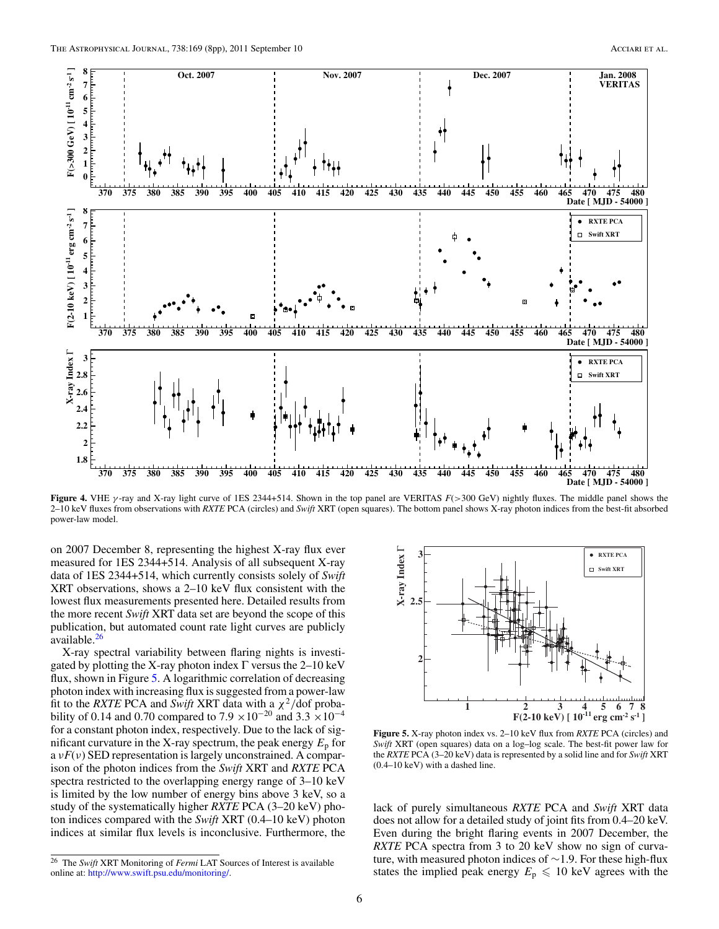<span id="page-6-0"></span>

**Figure 4.** VHE *γ* -ray and X-ray light curve of 1ES 2344+514. Shown in the top panel are VERITAS *F*(*>*300 GeV) nightly fluxes. The middle panel shows the 2–10 keV fluxes from observations with *RXTE* PCA (circles) and *Swift* XRT (open squares). The bottom panel shows X-ray photon indices from the best-fit absorbed power-law model.

on 2007 December 8, representing the highest X-ray flux ever measured for 1ES 2344+514. Analysis of all subsequent X-ray data of 1ES 2344+514, which currently consists solely of *Swift* XRT observations, shows a 2–10 keV flux consistent with the lowest flux measurements presented here. Detailed results from the more recent *Swift* XRT data set are beyond the scope of this publication, but automated count rate light curves are publicly available. $^{26}$ 

X-ray spectral variability between flaring nights is investigated by plotting the X-ray photon index  $\Gamma$  versus the 2–10 keV flux, shown in Figure 5. A logarithmic correlation of decreasing photon index with increasing flux is suggested from a power-law fit to the *RXTE* PCA and *Swift* XRT data with a  $\chi^2$ /dof probability of 0.14 and 0.70 compared to 7.9 ×10<sup>-20</sup> and 3.3 ×10<sup>-4</sup> for a constant photon index, respectively. Due to the lack of significant curvature in the X-ray spectrum, the peak energy  $E_p$  for a *νF*(*ν*) SED representation is largely unconstrained. A comparison of the photon indices from the *Swift* XRT and *RXTE* PCA spectra restricted to the overlapping energy range of 3–10 keV is limited by the low number of energy bins above 3 keV, so a study of the systematically higher *RXTE* PCA (3–20 keV) photon indices compared with the *Swift* XRT (0.4–10 keV) photon indices at similar flux levels is inconclusive. Furthermore, the



**Figure 5.** X-ray photon index vs. 2–10 keV flux from *RXTE* PCA (circles) and *Swift* XRT (open squares) data on a log–log scale. The best-fit power law for the *RXTE* PCA (3–20 keV) data is represented by a solid line and for *Swift* XRT (0.4–10 keV) with a dashed line.

lack of purely simultaneous *RXTE* PCA and *Swift* XRT data does not allow for a detailed study of joint fits from 0.4–20 keV. Even during the bright flaring events in 2007 December, the *RXTE* PCA spectra from 3 to 20 keV show no sign of curvature, with measured photon indices of ∼1.9. For these high-flux states the implied peak energy  $E_p \le 10 \text{ keV}$  agrees with the

<sup>26</sup> The *Swift* XRT Monitoring of *Fermi* LAT Sources of Interest is available online at: [http://www.swift.psu.edu/monitoring/.](http://www.swift.psu.edu/monitoring/)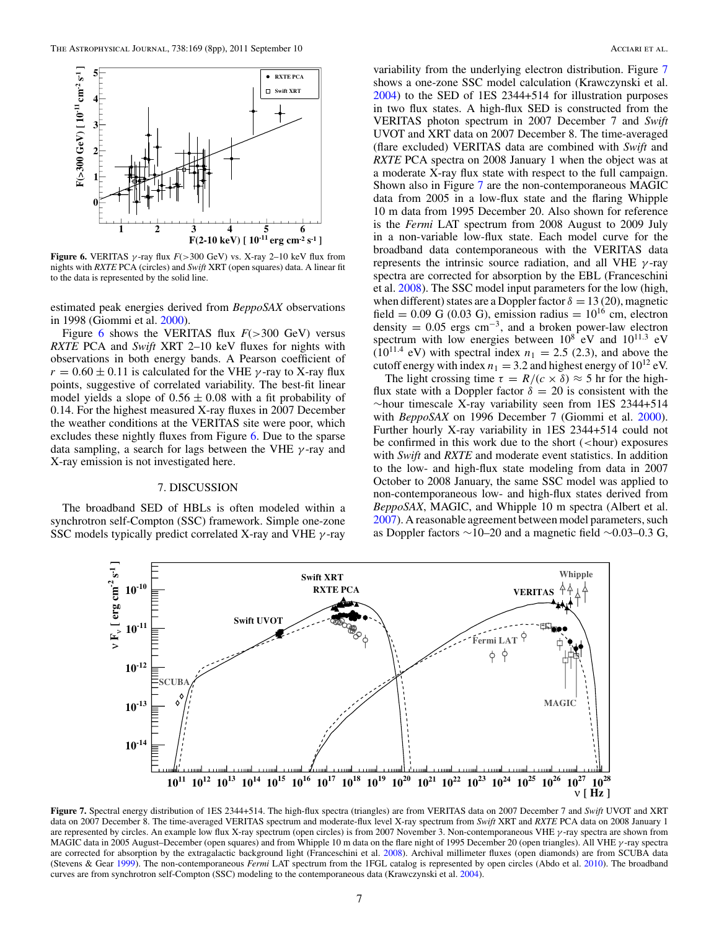

**Figure 6.** VERITAS  $\gamma$ -ray flux  $F(>300 \text{ GeV})$  vs. X-ray 2–10 keV flux from nights with *RXTE* PCA (circles) and *Swift* XRT (open squares) data. A linear fit to the data is represented by the solid line.

estimated peak energies derived from *BeppoSAX* observations in 1998 (Giommi et al. [2000\)](#page-8-0).

Figure 6 shows the VERITAS flux *F*(*>*300 GeV) versus *RXTE* PCA and *Swift* XRT 2–10 keV fluxes for nights with observations in both energy bands. A Pearson coefficient of  $r = 0.60 \pm 0.11$  is calculated for the VHE *γ*-ray to X-ray flux points, suggestive of correlated variability. The best-fit linear model yields a slope of  $0.56 \pm 0.08$  with a fit probability of 0.14. For the highest measured X-ray fluxes in 2007 December the weather conditions at the VERITAS site were poor, which excludes these nightly fluxes from Figure 6. Due to the sparse data sampling, a search for lags between the VHE *γ* -ray and X-ray emission is not investigated here.

#### 7. DISCUSSION

The broadband SED of HBLs is often modeled within a synchrotron self-Compton (SSC) framework. Simple one-zone SSC models typically predict correlated X-ray and VHE *γ* -ray

variability from the underlying electron distribution. Figure 7 shows a one-zone SSC model calculation (Krawczynski et al. [2004\)](#page-8-0) to the SED of 1ES 2344+514 for illustration purposes in two flux states. A high-flux SED is constructed from the VERITAS photon spectrum in 2007 December 7 and *Swift* UVOT and XRT data on 2007 December 8. The time-averaged (flare excluded) VERITAS data are combined with *Swift* and *RXTE* PCA spectra on 2008 January 1 when the object was at a moderate X-ray flux state with respect to the full campaign. Shown also in Figure 7 are the non-contemporaneous MAGIC data from 2005 in a low-flux state and the flaring Whipple 10 m data from 1995 December 20. Also shown for reference is the *Fermi* LAT spectrum from 2008 August to 2009 July in a non-variable low-flux state. Each model curve for the broadband data contemporaneous with the VERITAS data represents the intrinsic source radiation, and all VHE *γ* -ray spectra are corrected for absorption by the EBL (Franceschini et al. [2008\)](#page-8-0). The SSC model input parameters for the low (high, when different) states are a Doppler factor  $\delta = 13(20)$ , magnetic field = 0.09 G (0.03 G), emission radius =  $10^{16}$  cm, electron density =  $0.05$  ergs cm<sup>-3</sup>, and a broken power-law electron spectrum with low energies between 108 eV and 1011*.*<sup>3</sup> eV  $(10^{11.4} \text{ eV})$  with spectral index  $n_1 = 2.5$  (2.3), and above the cutoff energy with index  $n_1 = 3.2$  and highest energy of  $10^{12}$  eV.

The light crossing time  $\tau = R/(c \times \delta) \approx 5$  hr for the highflux state with a Doppler factor  $\delta = 20$  is consistent with the ∼hour timescale X-ray variability seen from 1ES 2344+514 with *BeppoSAX* on 1996 December 7 (Giommi et al. [2000\)](#page-8-0). Further hourly X-ray variability in 1ES 2344+514 could not be confirmed in this work due to the short (*<*hour) exposures with *Swift* and *RXTE* and moderate event statistics. In addition to the low- and high-flux state modeling from data in 2007 October to 2008 January, the same SSC model was applied to non-contemporaneous low- and high-flux states derived from *BeppoSAX*, MAGIC, and Whipple 10 m spectra (Albert et al. [2007\)](#page-8-0). A reasonable agreement between model parameters, such as Doppler factors ∼10–20 and a magnetic field ∼0.03–0.3 G,



**Figure 7.** Spectral energy distribution of 1ES 2344+514. The high-flux spectra (triangles) are from VERITAS data on 2007 December 7 and *Swift* UVOT and XRT data on 2007 December 8. The time-averaged VERITAS spectrum and moderate-flux level X-ray spectrum from *Swift* XRT and *RXTE* PCA data on 2008 January 1 are represented by circles. An example low flux X-ray spectrum (open circles) is from 2007 November 3. Non-contemporaneous VHE *γ* -ray spectra are shown from MAGIC data in 2005 August–December (open squares) and from Whipple 10 m data on the flare night of 1995 December 20 (open triangles). All VHE *γ* -ray spectra are corrected for absorption by the extragalactic background light (Franceschini et al. [2008\)](#page-8-0). Archival millimeter fluxes (open diamonds) are from SCUBA data (Stevens & Gear [1999\)](#page-8-0). The non-contemporaneous *Fermi* LAT spectrum from the 1FGL catalog is represented by open circles (Abdo et al. [2010\)](#page-8-0). The broadband curves are from synchrotron self-Compton (SSC) modeling to the contemporaneous data (Krawczynski et al. [2004\)](#page-8-0).